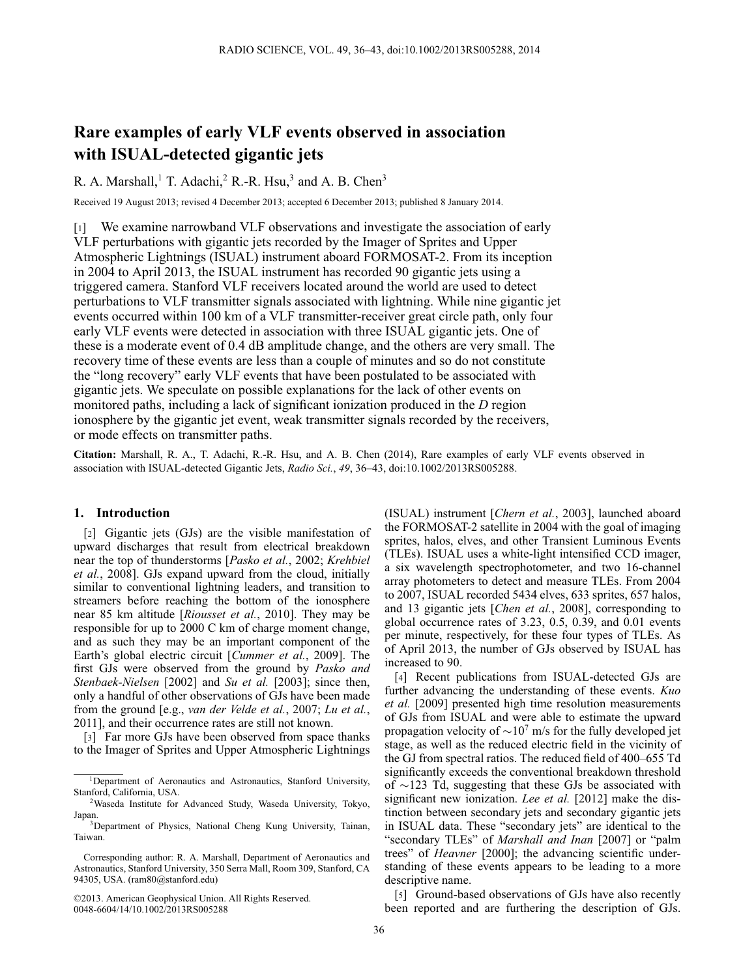# **Rare examples of early VLF events observed in association with ISUAL-detected gigantic jets**

R. A. Marshall,<sup>1</sup> T. Adachi,<sup>2</sup> R.-R. Hsu,<sup>3</sup> and A. B. Chen<sup>3</sup>

Received 19 August 2013; revised 4 December 2013; accepted 6 December 2013; published 8 January 2014.

[1] We examine narrowband VLF observations and investigate the association of early VLF perturbations with gigantic jets recorded by the Imager of Sprites and Upper Atmospheric Lightnings (ISUAL) instrument aboard FORMOSAT-2. From its inception in 2004 to April 2013, the ISUAL instrument has recorded 90 gigantic jets using a triggered camera. Stanford VLF receivers located around the world are used to detect perturbations to VLF transmitter signals associated with lightning. While nine gigantic jet events occurred within 100 km of a VLF transmitter-receiver great circle path, only four early VLF events were detected in association with three ISUAL gigantic jets. One of these is a moderate event of 0.4 dB amplitude change, and the others are very small. The recovery time of these events are less than a couple of minutes and so do not constitute the "long recovery" early VLF events that have been postulated to be associated with gigantic jets. We speculate on possible explanations for the lack of other events on monitored paths, including a lack of significant ionization produced in the *D* region ionosphere by the gigantic jet event, weak transmitter signals recorded by the receivers, or mode effects on transmitter paths.

**Citation:** Marshall, R. A., T. Adachi, R.-R. Hsu, and A. B. Chen (2014), Rare examples of early VLF events observed in association with ISUAL-detected Gigantic Jets, *Radio Sci.*, *49*, 36–43, doi:10.1002/2013RS005288.

## **1. Introduction**

[2] Gigantic jets (GJs) are the visible manifestation of upward discharges that result from electrical breakdown near the top of thunderstorms [*[Pasko et al.](#page-7-1)*, 2002; *Krehbiel et al.*, 2008[\].](#page-6-0) [GJs](#page-6-0) [expand](#page-6-0) [upward](#page-6-0) [from](#page-6-0) [the](#page-6-0) [cloud,](#page-6-0) initially similar to conventional lightning leaders, and transition to streamers before reaching the bottom of the ionosphere near 85 km altitude [*[Riousset et al.](#page-7-2)*, 2010]. They may be responsible for up to 2000 C km of charge moment change, and as such they may be an important component of the Earth's global electric circuit [*[Cummer et al.](#page-6-1)*, 2009]. The first GJs were observed from the ground by *Pasko and Stenbaek-Nielsen* [2002] and *[Su et al.](#page-7-4)* [2003]; since then, only a handful of other observations of GJs have been made from the ground [e.g., *[van der Velde et al.](#page-7-5)*, [2007;](#page-7-5) *[Lu et al.](#page-6-2)*, [2011\]](#page-6-2), and their occurrence rates are still not known.

[3] Far more GJs have been observed from space thanks to the Imager of Sprites and Upper Atmospheric Lightnings

©2013. American Geophysical Union. All Rights Reserved. 0048-6604/14/10.1002/2013RS005288

(ISUAL) instrument [*[Chern et al.](#page-6-3)*, 2003], launched aboard the FORMOSAT-2 satellite in 2004 with the goal of imaging sprites, halos, elves, and other Transient Luminous Events (TLEs). ISUAL uses a white-light intensified CCD imager, a six wavelength spectrophotometer, and two 16-channel array photometers to detect and measure TLEs. From 2004 to 2007, ISUAL recorded 5434 elves, 633 sprites, 657 halos, and 13 gigantic jets [*[Chen et al.](#page-6-4)*, 2008], corresponding to global occurrence rates of 3.23, 0.5, 0.39, and 0.01 events per minute, respectively, for these four types of TLEs. As of April 2013, the number of GJs observed by ISUAL has increased to 90.

[4] Recent publications from ISUAL-detected GJs are further advancing the understanding of these events. *Kuo et al.* [2009] presented high time resolution measurements of GJs from ISUAL and were able to estimate the upward propagation velocity of  $\sim 10^7$  m/s for the fully developed jet stage, as well as the reduced electric field in the vicinity of the GJ from spectral ratios. The reduced field of 400–655 Td significantly exceeds the conventional breakdown threshold of  $\sim$ 123 Td, suggesting that these GJs be associated with significant new ionization. *[Lee et al.](#page-6-5)* [2012] make the distinction between secondary jets and secondary gigantic jets in ISUAL data. These "secondary jets" are identical to the "secondary TLEs" of *[Marshall and Inan](#page-6-6)* [2007] or "palm trees" of *[Heavner](#page-6-7)* [2000]; the advancing scientific understanding of these events appears to be leading to a more descriptive name.

[5] Ground-based observations of GJs have also recently been reported and are furthering the description of GJs.

<sup>&</sup>lt;sup>1</sup>Department of Aeronautics and Astronautics, Stanford University, Stanford, California, USA.

<sup>2</sup>Waseda Institute for Advanced Study, Waseda University, Tokyo, Japan.

<sup>3</sup>Department of Physics, National Cheng Kung University, Tainan, Taiwan.

Corresponding author: R. A. Marshall, Department of Aeronautics and Astronautics, Stanford University, 350 Serra Mall, Room 309, Stanford, CA 94305, USA. (ram80@stanford.edu)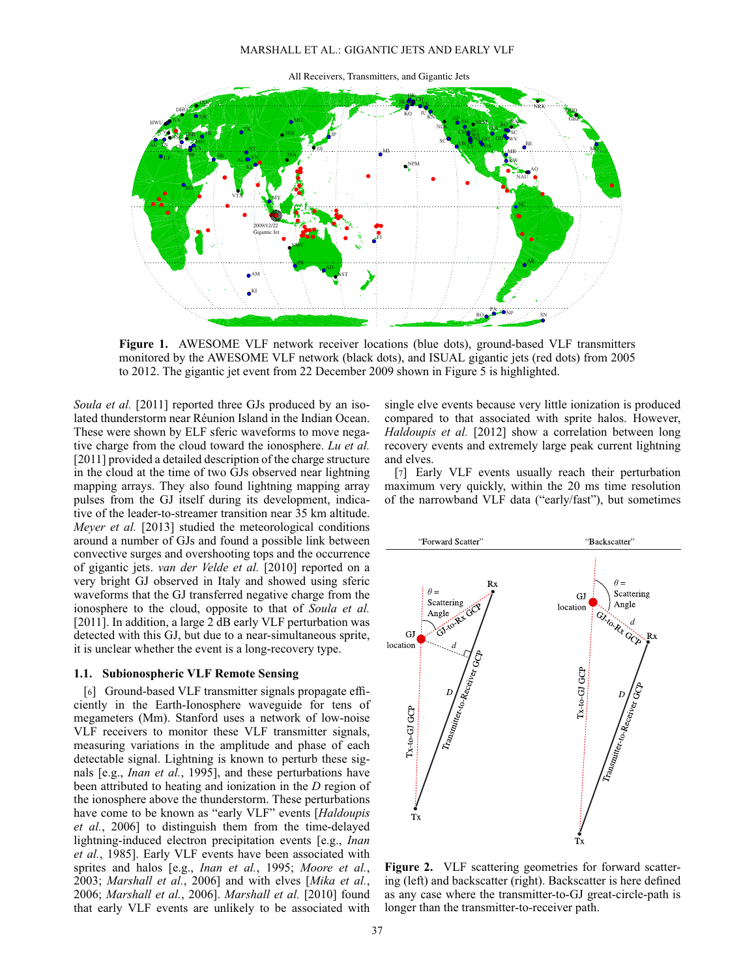#### MARSHALL ET AL.: GIGANTIC JETS AND EARLY VLF



<span id="page-1-0"></span>**Figure 1.** AWESOME VLF network receiver locations (blue dots), ground-based VLF transmitters monitored by the AWESOME VLF network (black dots), and ISUAL gigantic jets (red dots) from 2005 to 2012. The gigantic jet event from 22 December 2009 shown in Figure [5](#page-5-0) is highlighted.

*[Soula et al.](#page-7-6)* [2011] reported three GJs produced by an isolated thunderstorm near Réunion Island in the Indian Ocean. These were shown by ELF sferic waveforms to move negative charge from the cloud toward the ionosphere. *Lu et al.* [2011[\]](#page-6-2) [provided](#page-6-2) [a](#page-6-2) [detailed](#page-6-2) [description](#page-6-2) [of](#page-6-2) [the](#page-6-2) [charge](#page-6-2) [s](#page-6-2)tructure in the cloud at the time of two GJs observed near lightning mapping arrays. They also found lightning mapping array pulses from the GJ itself during its development, indicative of the leader-to-streamer transition near 35 km altitude. *[Meyer et al.](#page-6-8)* [2013] studied the meteorological conditions around a number of GJs and found a possible link between convective surges and overshooting tops and the occurrence of gigantic jets. *[van der Velde et al.](#page-7-7)* [2010] reported on a very bright GJ observed in Italy and showed using sferic waveforms that the GJ transferred negative charge from the ionosphere to the cloud, opposite to that of *Soula et al.* [2011[\].](#page-7-6) [In](#page-7-6) [addition,](#page-7-6) [a](#page-7-6) [large](#page-7-6) [2](#page-7-6) [dB](#page-7-6) [early](#page-7-6) [VLF](#page-7-6) [pertu](#page-7-6)rbation was detected with this GJ, but due to a near-simultaneous sprite, it is unclear whether the event is a long-recovery type.

## **1.1. Subionospheric VLF Remote Sensing**

[6] Ground-based VLF transmitter signals propagate efficiently in the Earth-Ionosphere waveguide for tens of megameters (Mm). Stanford uses a network of low-noise VLF receivers to monitor these VLF transmitter signals, measuring variations in the amplitude and phase of each detectable signal. Lightning is known to perturb these signals [e.g., *[Inan et al.](#page-6-9)*, [1995\]](#page-6-9), and these perturbations have been attributed to heating and ionization in the *D* region of the ionosphere above the thunderstorm. These perturbations have come to be known as "early VLF" events [*Haldoupis et al.*, 2006] to distinguish them from the time-delayed light[ning-induced](#page-6-10) [electron](#page-6-10) [precipitation](#page-6-10) [events](#page-6-10) [\[e.g.,](#page-6-10) *Inan et al.*, [1985\]](#page-6-10). Early VLF events have been associated with sprites and halos [e.g., *[Inan et al.](#page-6-9)*, [1995;](#page-6-9) *[Moore et al.](#page-6-11)*, [2003;](#page-6-11) *[Marshall et al.](#page-6-12)*, [2006\]](#page-6-12) and with elves [*Mika et al.*, 2006; *[Marshall et al.](#page-6-12)*, 2006]. *[Marshall et al.](#page-6-14)* [2010] found that early VLF events are unlikely to be associated with

single elve events because very little ionization is produced compared to that associated with sprite halos. However, *[Haldoupis et al.](#page-6-15)* [2012] show a correlation between long recovery events and extremely large peak current lightning and elves.

[7] Early VLF events usually reach their perturbation maximum very quickly, within the 20 ms time resolution of the narrowband VLF data ("early/fast"), but sometimes



<span id="page-1-1"></span>Figure 2. VLF scattering geometries for forward scattering (left) and backscatter (right). Backscatter is here defined as any case where the transmitter-to-GJ great-circle-path is longer than the transmitter-to-receiver path.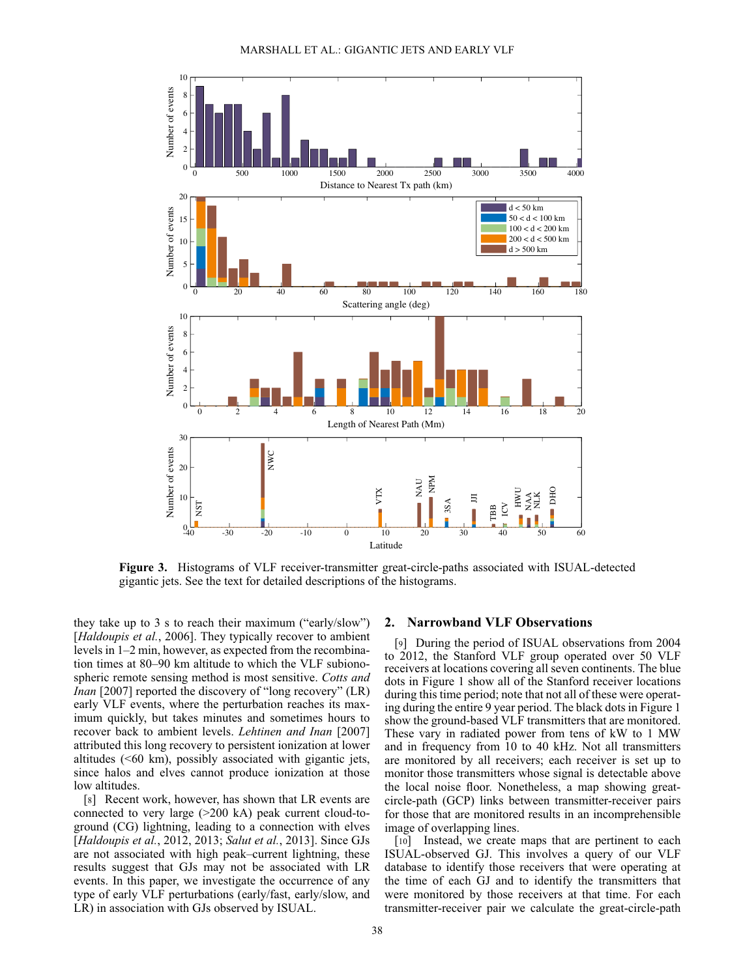

<span id="page-2-0"></span>**Figure 3.** Histograms of VLF receiver-transmitter great-circle-paths associated with ISUAL-detected gigantic jets. See the text for detailed descriptions of the histograms.

they take up to 3 s to reach their maximum ("early/slow") [*[Haldoupis et al.](#page-6-16)*, [2006\]](#page-6-16). They typically recover to ambient levels in 1–2 min, however, as expected from the recombination times at 80–90 km altitude to which the VLF subionospheric remote sensing method is most sensitive. *Cotts and Inan* [2007[\]](#page-6-17) [reported](#page-6-17) [the](#page-6-17) [discovery](#page-6-17) [of](#page-6-17) ["long](#page-6-17) [recov](#page-6-17)ery" (LR) early VLF events, where the perturbation reaches its maximum quickly, but takes minutes and sometimes hours to recover back to ambient levels. *[Lehtinen and Inan](#page-6-18)* [2007] attributed this long recovery to persistent ionization at lower altitudes (<60 km), possibly associated with gigantic jets, since halos and elves cannot produce ionization at those low altitudes.

[8] Recent work, however, has shown that LR events are connected to very large (>200 kA) peak current cloud-toground (CG) lightning, leading to a connection with elves [*[Haldoupis et al.](#page-6-15)*, [2012,](#page-6-15) [2013;](#page-6-19) *[Salut et al.](#page-7-8)*, [2013\]](#page-7-8). Since GJs are not associated with high peak–current lightning, these results suggest that GJs may not be associated with LR events. In this paper, we investigate the occurrence of any type of early VLF perturbations (early/fast, early/slow, and LR) in association with GJs observed by ISUAL.

### **2. Narrowband VLF Observations**

[9] During the period of ISUAL observations from 2004 to 2012, the Stanford VLF group operated over 50 VLF receivers at locations covering all seven continents. The blue dots in Figure [1](#page-1-0) show all of the Stanford receiver locations during this time period; note that not all of these were operating during the entire 9 year period. The black dots in Figure [1](#page-1-0) show the ground-based VLF transmitters that are monitored. These vary in radiated power from tens of kW to 1 MW and in frequency from 10 to 40 kHz. Not all transmitters are monitored by all receivers; each receiver is set up to monitor those transmitters whose signal is detectable above the local noise floor. Nonetheless, a map showing greatcircle-path (GCP) links between transmitter-receiver pairs for those that are monitored results in an incomprehensible image of overlapping lines.

[10] Instead, we create maps that are pertinent to each ISUAL-observed GJ. This involves a query of our VLF database to identify those receivers that were operating at the time of each GJ and to identify the transmitters that were monitored by those receivers at that time. For each transmitter-receiver pair we calculate the great-circle-path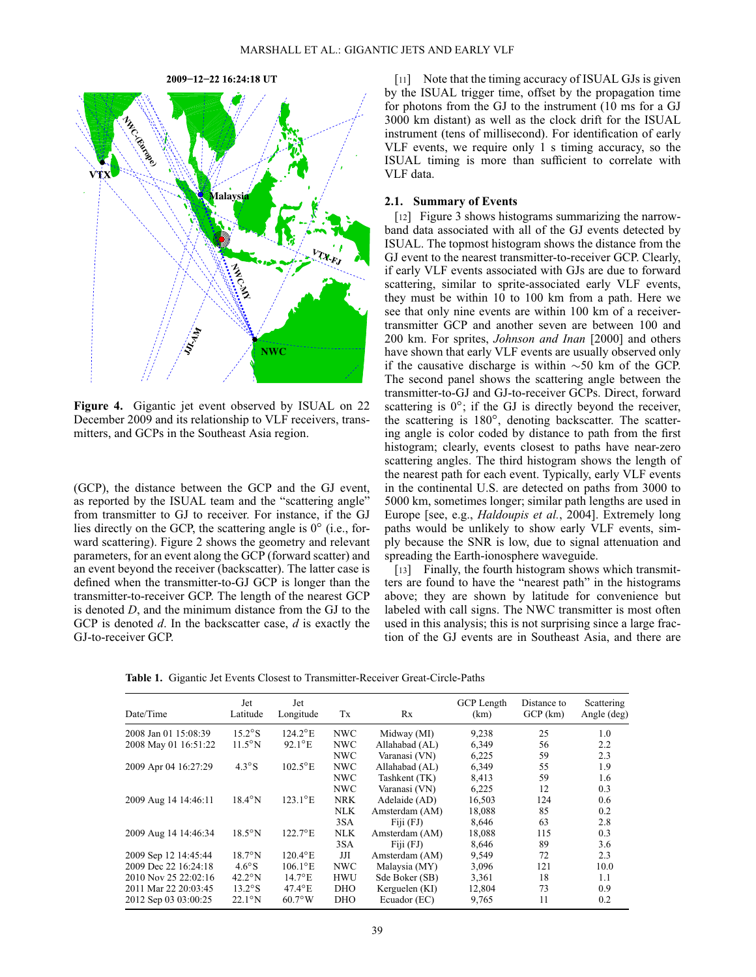

<span id="page-3-0"></span>**Figure 4.** Gigantic jet event observed by ISUAL on 22 December 2009 and its relationship to VLF receivers, transmitters, and GCPs in the Southeast Asia region.

(GCP), the distance between the GCP and the GJ event, as reported by the ISUAL team and the "scattering angle" from transmitter to GJ to receiver. For instance, if the GJ lies directly on the GCP, the scattering angle is  $0^{\circ}$  (i.e., forward scattering). Figure [2](#page-1-1) shows the geometry and relevant parameters, for an event along the GCP (forward scatter) and an event beyond the receiver (backscatter). The latter case is defined when the transmitter-to-GJ GCP is longer than the transmitter-to-receiver GCP. The length of the nearest GCP is denoted *D*, and the minimum distance from the GJ to the GCP is denoted *d*. In the backscatter case, *d* is exactly the GJ-to-receiver GCP.

[11] Note that the timing accuracy of ISUAL GJs is given by the ISUAL trigger time, offset by the propagation time for photons from the GJ to the instrument (10 ms for a GJ 3000 km distant) as well as the clock drift for the ISUAL instrument (tens of millisecond). For identification of early VLF events, we require only 1 s timing accuracy, so the ISUAL timing is more than sufficient to correlate with VLF data.

#### **2.1. Summary of Events**

[12] Figure [3](#page-2-0) shows histograms summarizing the narrowband data associated with all of the GJ events detected by ISUAL. The topmost histogram shows the distance from the GJ event to the nearest transmitter-to-receiver GCP. Clearly, if early VLF events associated with GJs are due to forward scattering, similar to sprite-associated early VLF events, they must be within 10 to 100 km from a path. Here we see that only nine events are within 100 km of a receivertransmitter GCP and another seven are between 100 and 200 km. For sprites, *[Johnson and Inan](#page-6-20)* [2000] and others have shown that early VLF events are usually observed only if the causative discharge is within  $\sim 50$  km of the GCP. The second panel shows the scattering angle between the transmitter-to-GJ and GJ-to-receiver GCPs. Direct, forward scattering is  $0^\circ$ ; if the GJ is directly beyond the receiver, the scattering is  $180^\circ$ , denoting backscatter. The scattering angle is color coded by distance to path from the first histogram; clearly, events closest to paths have near-zero scattering angles. The third histogram shows the length of the nearest path for each event. Typically, early VLF events in the continental U.S. are detected on paths from 3000 to 5000 km, sometimes longer; similar path lengths are used in Europe [see, e.g., *[Haldoupis et al.](#page-6-21)*, [2004\]](#page-6-21). Extremely long paths would be unlikely to show early VLF events, simply because the SNR is low, due to signal attenuation and spreading the Earth-ionosphere waveguide.

[13] Finally, the fourth histogram shows which transmitters are found to have the "nearest path" in the histograms above; they are shown by latitude for convenience but labeled with call signs. The NWC transmitter is most often used in this analysis; this is not surprising since a large fraction of the GJ events are in Southeast Asia, and there are

**Table 1.** Gigantic Jet Events Closest to Transmitter-Receiver Great-Circle-Paths

<span id="page-3-1"></span>

| Date/Time            | Jet<br>Latitude                                        | Jet<br>Longitude       | Tx          | Rx                       | <b>GCP</b> Length<br>(km) | Distance to<br>$GCP$ (km) | Scattering<br>Angle (deg) |
|----------------------|--------------------------------------------------------|------------------------|-------------|--------------------------|---------------------------|---------------------------|---------------------------|
| 2008 Jan 01 15:08:39 | $15.2^\circ$ S<br><b>NWC</b><br>$124.2$ <sup>o</sup> E |                        | Midway (MI) | 9,238<br>25<br>1.0       |                           |                           |                           |
| 2008 May 01 16:51:22 | $11.5^{\circ}$ N                                       | $92.1^{\circ}E$        | <b>NWC</b>  | Allahabad (AL)           | 6,349                     | 56                        | 2.2                       |
|                      |                                                        |                        | NWC         | Varanasi (VN)            | 6,225                     | 59                        | 2.3                       |
| 2009 Apr 04 16:27:29 | $4.3^\circ$ S                                          | $102.5$ °E             | <b>NWC</b>  | Allahabad (AL)           | 6,349                     | 55                        | 1.9                       |
|                      |                                                        |                        | <b>NWC</b>  | Tashkent (TK)            | 8,413                     | 59                        | 1.6                       |
|                      |                                                        |                        | <b>NWC</b>  | Varanasi (VN)            | 6,225                     | 12                        | 0.3                       |
| 2009 Aug 14 14:46:11 | $18.4^{\circ}$ N                                       | $123.1^{\circ}E$       | <b>NRK</b>  | Adelaide (AD)            | 16,503                    | 124                       | 0.6                       |
|                      |                                                        |                        | NLK         | Amsterdam (AM)           | 18,088                    | 85                        | 0.2                       |
|                      |                                                        |                        | 3SA         | $Fi$ <sub>1</sub> $(FJ)$ | 8,646                     | 63                        | 2.8                       |
| 2009 Aug 14 14:46:34 | $18.5^\circ$ N                                         | $122.7$ °E             | <b>NLK</b>  | Amsterdam (AM)           | 18,088                    | 115                       | 0.3                       |
|                      |                                                        |                        | 3SA         | $Fi$ <sub>1</sub> $(FJ)$ | 8,646                     | 89                        | 3.6                       |
| 2009 Sep 12 14:45:44 | $18.7^\circ$ N                                         | $120.4$ <sup>o</sup> E | JЛ          | Amsterdam (AM)           | 9,549                     | 72                        | 2.3                       |
| 2009 Dec 22 16:24:18 | $4.6^{\circ}$ S                                        | $106.1$ °E             | <b>NWC</b>  | Malaysia (MY)            | 3,096                     | 121                       | 10.0                      |
| 2010 Nov 25 22:02:16 | $42.2^\circ$ N                                         | $14.7^{\circ}E$        | <b>HWU</b>  | Sde Boker (SB)           | 3,361                     | 18                        | 1.1                       |
| 2011 Mar 22 20:03:45 | $13.2^\circ$ S                                         | $47.4^{\circ}$ E       | <b>DHO</b>  | Kerguelen (KI)           | 12,804                    | 73                        | 0.9                       |
| 2012 Sep 03 03:00:25 | $22.1^\circ$ N                                         | $60.7^\circ$ W         | <b>DHO</b>  | Ecuador (EC)             | 9,765                     | 11                        | 0.2                       |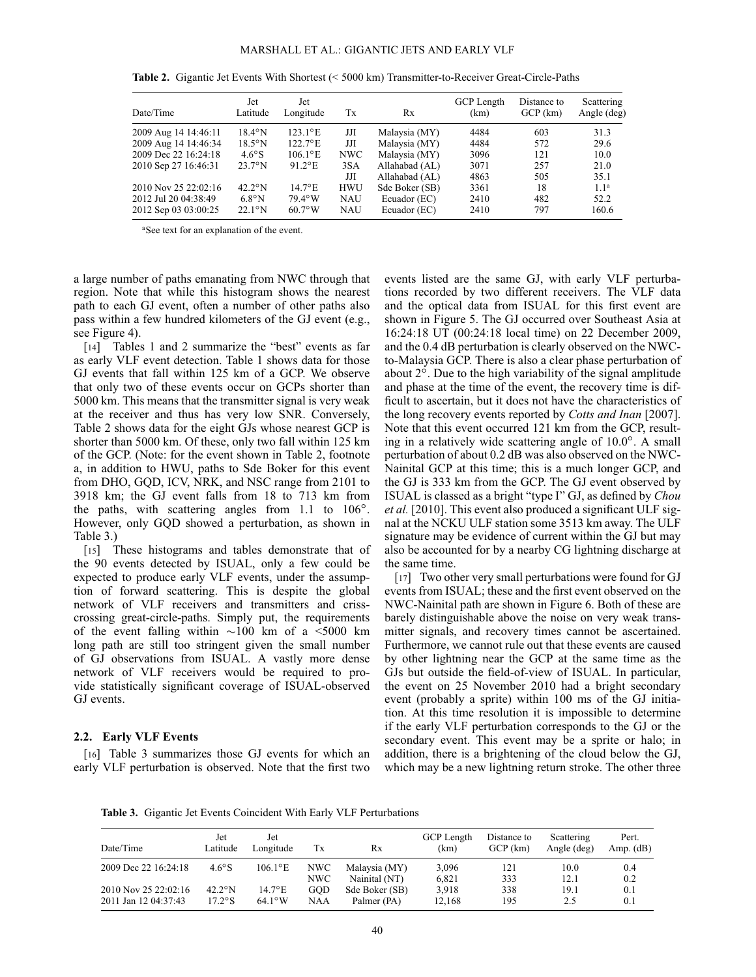| Date/Time            | Jet<br>Latitude  | Jet<br>Longitude      | Tx         | Rx             | GCP Length<br>(km) | Distance to<br>$GCP$ $(km)$ | Scattering<br>Angle (deg) |
|----------------------|------------------|-----------------------|------------|----------------|--------------------|-----------------------------|---------------------------|
| 2009 Aug 14 14:46:11 | $18.4^{\circ}$ N | $123.1^{\circ}E$      | JЛ         | Malaysia (MY)  | 4484               | 603                         | 31.3                      |
| 2009 Aug 14 14:46:34 | $18.5^{\circ}$ N | $122.7$ °E            | JЛ         | Malaysia (MY)  | 4484               | 572                         | 29.6                      |
| 2009 Dec 22 16:24:18 | $4.6^\circ$ S    | $106.1$ °E            | NWC        | Malaysia (MY)  | 3096               | 121                         | 10.0                      |
| 2010 Sep 27 16:46:31 | $23.7^\circ$ N   | $91.2$ <sup>o</sup> E | 3SA        | Allahabad (AL) | 3071               | 257                         | 21.0                      |
|                      |                  |                       | JЛ         | Allahabad (AL) | 4863               | 505                         | 35.1                      |
| 2010 Nov 25 22:02:16 | $42.2^\circ$ N   | $14.7^{\circ}$ E      | <b>HWU</b> | Sde Boker (SB) | 3361               | 18                          | 1.1 <sup>a</sup>          |
| 2012 Jul 20 04:38:49 | $6.8^\circ$ N    | $79.4^\circ$ W        | <b>NAU</b> | Ecuador (EC)   | 2410               | 482                         | 52.2                      |
| 2012 Sep 03 03:00:25 | $22.1^\circ$ N   | $60.7^\circ$ W        | NAU        | Ecuador (EC)   | 2410               | 797                         | 160.6                     |

<span id="page-4-0"></span>**Table 2.** Gigantic Jet Events With Shortest (< 5000 km) Transmitter-to-Receiver Great-Circle-Paths

a See text for an explanation of the event.

a large number of paths emanating from NWC through that region. Note that while this histogram shows the nearest path to each GJ event, often a number of other paths also pass within a few hundred kilometers of the GJ event (e.g., see Figure [4\)](#page-3-0).

[14] Tables [1](#page-3-1) and [2](#page-4-0) summarize the "best" events as far as early VLF event detection. Table [1](#page-3-1) shows data for those GJ events that fall within 125 km of a GCP. We observe that only two of these events occur on GCPs shorter than 5000 km. This means that the transmitter signal is very weak at the receiver and thus has very low SNR. Conversely, Table [2](#page-4-0) shows data for the eight GJs whose nearest GCP is shorter than 5000 km. Of these, only two fall within 125 km of the GCP. (Note: for the event shown in Table [2,](#page-4-0) footnote a, in addition to HWU, paths to Sde Boker for this event from DHO, GQD, ICV, NRK, and NSC range from 2101 to 3918 km; the GJ event falls from 18 to 713 km from the paths, with scattering angles from  $1.1$  to  $106^\circ$ . However, only GQD showed a perturbation, as shown in Table [3.](#page-4-1))

[15] These histograms and tables demonstrate that of the 90 events detected by ISUAL, only a few could be expected to produce early VLF events, under the assumption of forward scattering. This is despite the global network of VLF receivers and transmitters and crisscrossing great-circle-paths. Simply put, the requirements of the event falling within  $\sim$ 100 km of a <5000 km long path are still too stringent given the small number of GJ observations from ISUAL. A vastly more dense network of VLF receivers would be required to provide statistically significant coverage of ISUAL-observed GJ events.

#### **2.2. Early VLF Events**

[16] Table [3](#page-4-1) summarizes those GJ events for which an early VLF perturbation is observed. Note that the first two

events listed are the same GJ, with early VLF perturbations recorded by two different receivers. The VLF data and the optical data from ISUAL for this first event are shown in Figure [5.](#page-5-0) The GJ occurred over Southeast Asia at 16:24:18 UT (00:24:18 local time) on 22 December 2009, and the 0.4 dB perturbation is clearly observed on the NWCto-Malaysia GCP. There is also a clear phase perturbation of about  $2^\circ$ . Due to the high variability of the signal amplitude and phase at the time of the event, the recovery time is difficult to ascertain, but it does not have the characteristics of the long recovery events reported by *[Cotts and Inan](#page-6-17)* [2007]. Note that this event occurred 121 km from the GCP, resulting in a relatively wide scattering angle of  $10.0^\circ$ . A small perturbation of about 0.2 dB was also observed on the NWC-Nainital GCP at this time; this is a much longer GCP, and the GJ is 333 km from the GCP. The GJ event observed by ISUAL is classed as a bright "type I" GJ, as defined by *Chou et al.* [2010]. This event also produced a significant ULF signal at the NCKU ULF station some 3513 km away. The ULF signature may be evidence of current within the GJ but may also be accounted for by a nearby CG lightning discharge at the same time.

[17] Two other very small perturbations were found for GJ events from ISUAL; these and the first event observed on the NWC-Nainital path are shown in Figure [6.](#page-5-1) Both of these are barely distinguishable above the noise on very weak transmitter signals, and recovery times cannot be ascertained. Furthermore, we cannot rule out that these events are caused by other lightning near the GCP at the same time as the GJs but outside the field-of-view of ISUAL. In particular, the event on 25 November 2010 had a bright secondary event (probably a sprite) within 100 ms of the GJ initiation. At this time resolution it is impossible to determine if the early VLF perturbation corresponds to the GJ or the secondary event. This event may be a sprite or halo; in addition, there is a brightening of the cloud below the GJ, which may be a new lightning return stroke. The other three

<span id="page-4-1"></span>**Table 3.** Gigantic Jet Events Coincident With Early VLF Perturbations

| Date/Time            | Jet<br>Latitude  | Jet<br>Longitude  | Tx   | Rx             | <b>GCP</b> Length<br>(km) | Distance to<br>GCP (km) | Scattering<br>Angle (deg) | Pert.<br>Amp. $(dB)$ |
|----------------------|------------------|-------------------|------|----------------|---------------------------|-------------------------|---------------------------|----------------------|
| 2009 Dec 22 16:24:18 | $4.6^\circ$ S    | $106.1^{\circ}$ E | NWC- | Malaysia (MY)  | 3,096                     | 121                     | 10.0                      | 0.4                  |
|                      |                  |                   | NWC  | Nainital (NT)  | 6.821                     | 333                     | 12.1                      | 0.2                  |
| 2010 Nov 25 22:02:16 | $42.2^{\circ}$ N | $14.7^{\circ}E$   | GOD  | Sde Boker (SB) | 3.918                     | 338                     | 19.1                      | 0.1                  |
| 2011 Jan 12 04:37:43 | $17.2^\circ$ S   | $64.1^\circ$ W    | NAA  | Palmer (PA)    | 12.168                    | 195                     | 2.5                       | 0.1                  |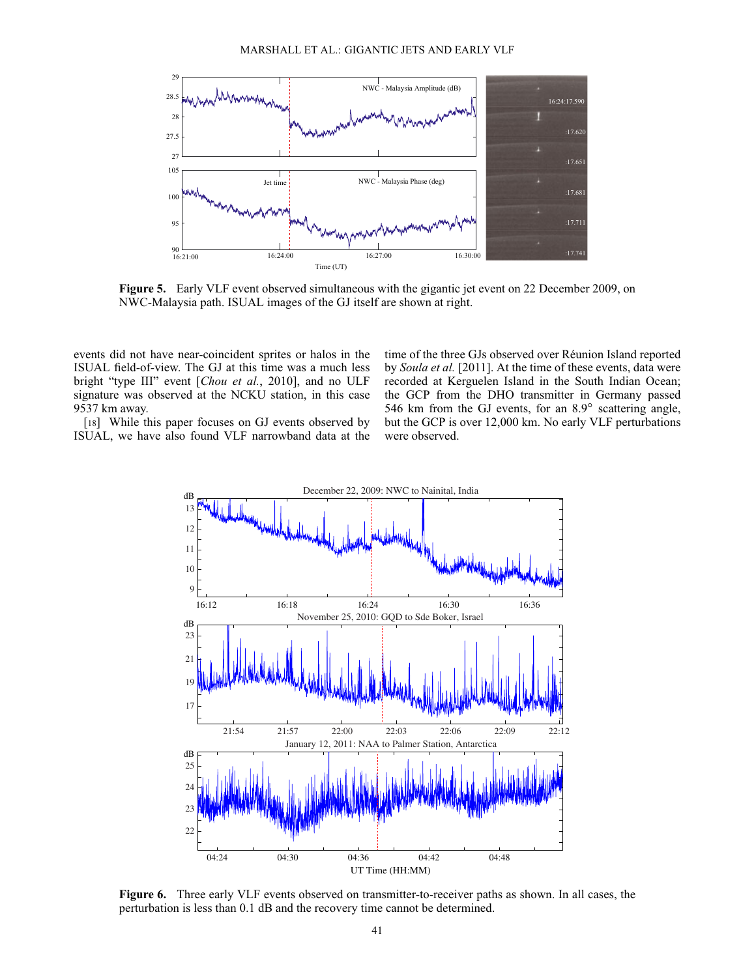

<span id="page-5-0"></span>**Figure 5.** Early VLF event observed simultaneous with the gigantic jet event on 22 December 2009, on NWC-Malaysia path. ISUAL images of the GJ itself are shown at right.

events did not have near-coincident sprites or halos in the ISUAL field-of-view. The GJ at this time was a much less bright "type III" event [*[Chou et al.](#page-6-22)*, 2010], and no ULF signature was observed at the NCKU station, in this case 9537 km away.

[18] While this paper focuses on GJ events observed by ISUAL, we have also found VLF narrowband data at the

time of the three GJs observed over Réunion Island reported by *[Soula et al.](#page-7-6)* [2011]. At the time of these events, data were recorded at Kerguelen Island in the South Indian Ocean; the GCP from the DHO transmitter in Germany passed 546 km from the GJ events, for an  $8.9^\circ$  scattering angle, but the GCP is over 12,000 km. No early VLF perturbations were observed.



<span id="page-5-1"></span>**Figure 6.** Three early VLF events observed on transmitter-to-receiver paths as shown. In all cases, the perturbation is less than 0.1 dB and the recovery time cannot be determined.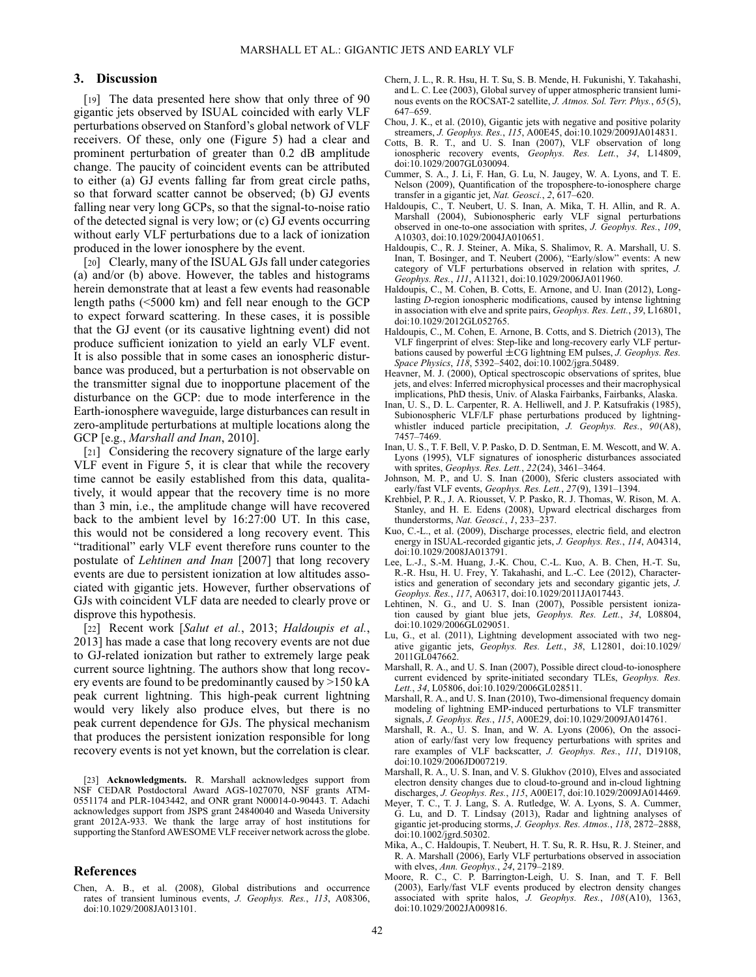### **3. Discussion**

[19] The data presented here show that only three of 90 gigantic jets observed by ISUAL coincided with early VLF perturbations observed on Stanford's global network of VLF receivers. Of these, only one (Figure [5\)](#page-5-0) had a clear and prominent perturbation of greater than 0.2 dB amplitude change. The paucity of coincident events can be attributed to either (a) GJ events falling far from great circle paths, so that forward scatter cannot be observed; (b) GJ events falling near very long GCPs, so that the signal-to-noise ratio of the detected signal is very low; or (c) GJ events occurring without early VLF perturbations due to a lack of ionization produced in the lower ionosphere by the event.

[20] Clearly, many of the ISUAL GJs fall under categories (a) and/or (b) above. However, the tables and histograms herein demonstrate that at least a few events had reasonable length paths (<5000 km) and fell near enough to the GCP to expect forward scattering. In these cases, it is possible that the GJ event (or its causative lightning event) did not produce sufficient ionization to yield an early VLF event. It is also possible that in some cases an ionospheric disturbance was produced, but a perturbation is not observable on the transmitter signal due to inopportune placement of the disturbance on the GCP: due to mode interference in the Earth-ionosphere waveguide, large disturbances can result in zero-amplitude perturbations at multiple locations along the GCP [e.g., *[Marshall and Inan](#page-6-23)*, [2010\]](#page-6-23).

[21] Considering the recovery signature of the large early VLF event in Figure [5,](#page-5-0) it is clear that while the recovery time cannot be easily established from this data, qualitatively, it would appear that the recovery time is no more than 3 min, i.e., the amplitude change will have recovered back to the ambient level by 16:27:00 UT. In this case, this would not be considered a long recovery event. This "traditional" early VLF event therefore runs counter to the postulate of *[Lehtinen and Inan](#page-6-18)* [2007] that long recovery events are due to persistent ionization at low altitudes associated with gigantic jets. However, further observations of GJs with coincident VLF data are needed to clearly prove or disprove this hypothesis.

[22] Recent work [*[Salut et al.](#page-7-8)*, 2013; *Haldoupis et al.*, 2013] has made a case that long recovery events are not due to GJ-related ionization but rather to extremely large peak current source lightning. The authors show that long recovery events are found to be predominantly caused by >150 kA peak current lightning. This high-peak current lightning would very likely also produce elves, but there is no peak current dependence for GJs. The physical mechanism that produces the persistent ionization responsible for long recovery events is not yet known, but the correlation is clear.

[23] **Acknowledgments.** R. Marshall acknowledges support from NSF CEDAR Postdoctoral Award AGS-1027070, NSF grants ATM-0551174 and PLR-1043442, and ONR grant N00014-0-90443. T. Adachi acknowledges support from JSPS grant 24840040 and Waseda University grant 2012A-933. We thank the large array of host institutions for supporting the Stanford AWESOME VLF receiver network across the globe.

### **References**

<span id="page-6-4"></span>Chen, A. B., et al. (2008), Global distributions and occurrence rates of transient luminous events, *J. Geophys. Res.*, *113*, A08306, doi:10.1029/2008JA013101.

- <span id="page-6-3"></span>Chern, J. L., R. R. Hsu, H. T. Su, S. B. Mende, H. Fukunishi, Y. Takahashi, and L. C. Lee (2003), Global survey of upper atmospheric transient luminous events on the ROCSAT-2 satellite, *J. Atmos. Sol. Terr. Phys.*, *65*(5), 647–659.
- <span id="page-6-22"></span>Chou, J. K., et al. (2010), Gigantic jets with negative and positive polarity streamers, *J. Geophys. Res.*, *115*, A00E45, doi:10.1029/2009JA014831.
- <span id="page-6-17"></span>Cotts, B. R. T., and U. S. Inan (2007), VLF observation of long ionospheric recovery events, *Geophys. Res. Lett.*, *34*, L14809, doi:10.1029/2007GL030094.
- <span id="page-6-1"></span>Cummer, S. A., J. Li, F. Han, G. Lu, N. Jaugey, W. A. Lyons, and T. E. Nelson (2009), Quantification of the troposphere-to-ionosphere charge transfer in a gigantic jet, *Nat. Geosci.*, *2*, 617–620.
- <span id="page-6-21"></span>Haldoupis, C., T. Neubert, U. S. Inan, A. Mika, T. H. Allin, and R. A. Marshall (2004), Subionospheric early VLF signal perturbations observed in one-to-one association with sprites, *J. Geophys. Res.*, *109*, A10303, doi:10.1029/2004JA010651.
- <span id="page-6-16"></span>Haldoupis, C., R. J. Steiner, A. Mika, S. Shalimov, R. A. Marshall, U. S. Inan, T. Bosinger, and T. Neubert (2006), "Early/slow" events: A new category of VLF perturbations observed in relation with sprites, *J. Geophys. Res.*, *111*, A11321, doi:10.1029/2006JA011960.
- <span id="page-6-15"></span>Haldoupis, C., M. Cohen, B. Cotts, E. Arnone, and U. Inan (2012), Longlasting *D*-region ionospheric modifications, caused by intense lightning in association with elve and sprite pairs, *Geophys. Res. Lett.*, *39*, L16801, doi:10.1029/2012GL052765.
- <span id="page-6-19"></span>Haldoupis, C., M. Cohen, E. Arnone, B. Cotts, and S. Dietrich (2013), The VLF fingerprint of elves: Step-like and long-recovery early VLF perturbations caused by powerful  $\pm$ CG lightning EM pulses, *J. Geophys. Res. Space Physics*, *118*, 5392–5402, doi:10.1002/jgra.50489.
- <span id="page-6-7"></span>Heavner, M. J. (2000), Optical spectroscopic observations of sprites, blue jets, and elves: Inferred microphysical processes and their macrophysical implications, PhD thesis, Univ. of Alaska Fairbanks, Fairbanks, Alaska.
- <span id="page-6-10"></span>Inan, U. S., D. L. Carpenter, R. A. Helliwell, and J. P. Katsufrakis (1985), Subionospheric VLF/LF phase perturbations produced by lightningwhistler induced particle precipitation, *J. Geophys. Res.*, *90*(A8), 7457–7469.
- <span id="page-6-9"></span>Inan, U. S., T. F. Bell, V. P. Pasko, D. D. Sentman, E. M. Wescott, and W. A. Lyons (1995), VLF signatures of ionospheric disturbances associated with sprites, *Geophys. Res. Lett.*, *22*(24), 3461–3464.
- <span id="page-6-20"></span>Johnson, M. P., and U. S. Inan (2000), Sferic clusters associated with early/fast VLF events, *Geophys. Res. Lett.*, *27*(9), 1391–1394.
- <span id="page-6-0"></span>Krehbiel, P. R., J. A. Riousset, V. P. Pasko, R. J. Thomas, W. Rison, M. A. Stanley, and H. E. Edens (2008), Upward electrical discharges from thunderstorms, *Nat. Geosci.*, *1*, 233–237.
- Kuo, C.-L., et al. (2009), Discharge processes, electric field, and electron energy in ISUAL-recorded gigantic jets, *J. Geophys. Res.*, *114*, A04314, doi:10.1029/2008JA013791.
- <span id="page-6-5"></span>Lee, L.-J., S.-M. Huang, J.-K. Chou, C.-L. Kuo, A. B. Chen, H.-T. Su, R.-R. Hsu, H. U. Frey, Y. Takahashi, and L.-C. Lee (2012), Characteristics and generation of secondary jets and secondary gigantic jets, *J. Geophys. Res.*, *117*, A06317, doi:10.1029/2011JA017443.
- <span id="page-6-18"></span>Lehtinen, N. G., and U. S. Inan (2007), Possible persistent ionization caused by giant blue jets, *Geophys. Res. Lett.*, *34*, L08804, doi:10.1029/2006GL029051.
- <span id="page-6-2"></span>Lu, G., et al. (2011), Lightning development associated with two negative gigantic jets, *Geophys. Res. Lett.*, *38*, L12801, doi:10.1029/ 2011GL047662.
- <span id="page-6-6"></span>Marshall, R. A., and U. S. Inan (2007), Possible direct cloud-to-ionosphere current evidenced by sprite-initiated secondary TLEs, *Geophys. Res. Lett.*, *34*, L05806, doi:10.1029/2006GL028511.
- <span id="page-6-23"></span>Marshall, R. A., and U. S. Inan (2010), Two-dimensional frequency domain modeling of lightning EMP-induced perturbations to VLF transmitter signals, *J. Geophys. Res.*, *115*, A00E29, doi:10.1029/2009JA014761.
- <span id="page-6-12"></span>Marshall, R. A., U. S. Inan, and W. A. Lyons (2006), On the association of early/fast very low frequency perturbations with sprites and rare examples of VLF backscatter, *J. Geophys. Res.*, *111*, D19108, doi:10.1029/2006JD007219.
- <span id="page-6-14"></span>Marshall, R. A., U. S. Inan, and V. S. Glukhov (2010), Elves and associated electron density changes due to cloud-to-ground and in-cloud lightning discharges, *J. Geophys. Res.*, *115*, A00E17, doi:10.1029/2009JA014469.
- <span id="page-6-8"></span>Meyer, T. C., T. J. Lang, S. A. Rutledge, W. A. Lyons, S. A. Cummer, G. Lu, and D. T. Lindsay (2013), Radar and lightning analyses of gigantic jet-producing storms, *J. Geophys. Res. Atmos.*, *118*, 2872–2888, doi:10.1002/jgrd.50302.
- <span id="page-6-13"></span>Mika, A., C. Haldoupis, T. Neubert, H. T. Su, R. R. Hsu, R. J. Steiner, and R. A. Marshall (2006), Early VLF perturbations observed in association with elves, *Ann. Geophys.*, *24*, 2179–2189.
- <span id="page-6-11"></span>Moore, R. C., C. P. Barrington-Leigh, U. S. Inan, and T. F. Bell (2003), Early/fast VLF events produced by electron density changes associated with sprite halos, *J. Geophys. Res.*, *108*(A10), 1363, doi:10.1029/2002JA009816.